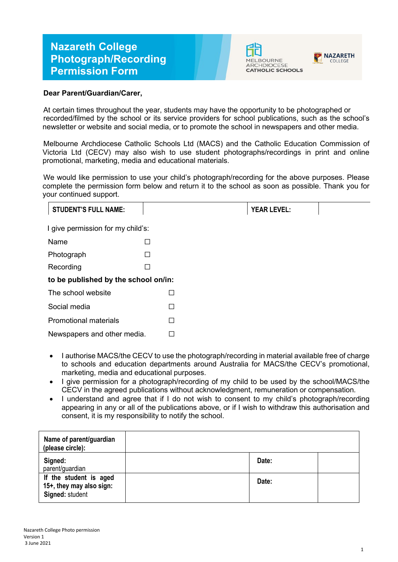## **Nazareth College Photograph/Recording Permission Form**





## **Dear Parent/Guardian/Carer,**

At certain times throughout the year, students may have the opportunity to be photographed or recorded/filmed by the school or its service providers for school publications, such as the school's newsletter or website and social media, or to promote the school in newspapers and other media.

Melbourne Archdiocese Catholic Schools Ltd (MACS) and the Catholic Education Commission of Victoria Ltd (CECV) may also wish to use student photographs/recordings in print and online promotional, marketing, media and educational materials.

We would like permission to use your child's photograph/recording for the above purposes. Please complete the permission form below and return it to the school as soon as possible. Thank you for your continued support.

| <b>STUDENT'S FULL NAME:</b>          |   |  | <b>YEAR LEVEL:</b> |  |  |
|--------------------------------------|---|--|--------------------|--|--|
| I give permission for my child's:    |   |  |                    |  |  |
| Name                                 | Ш |  |                    |  |  |
| Photograph                           | ш |  |                    |  |  |
| Recording                            | П |  |                    |  |  |
| to be published by the school on/in: |   |  |                    |  |  |
| The school website                   | П |  |                    |  |  |
| Social media                         | П |  |                    |  |  |
| <b>Promotional materials</b>         | П |  |                    |  |  |
| Newspapers and other media.          |   |  |                    |  |  |

- I authorise MACS/the CECV to use the photograph/recording in material available free of charge to schools and education departments around Australia for MACS/the CECV's promotional, marketing, media and educational purposes.
- I give permission for a photograph/recording of my child to be used by the school/MACS/the CECV in the agreed publications without acknowledgment, remuneration or compensation.
- I understand and agree that if I do not wish to consent to my child's photograph/recording appearing in any or all of the publications above, or if I wish to withdraw this authorisation and consent, it is my responsibility to notify the school.

| Name of parent/guardian<br>(please circle):                           |       |  |
|-----------------------------------------------------------------------|-------|--|
| Signed:<br>parent/guardian                                            | Date: |  |
| If the student is aged<br>15+, they may also sign:<br>Signed: student | Date: |  |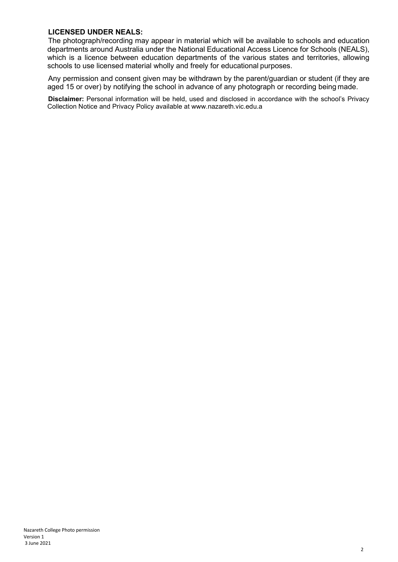## **LICENSED UNDER NEALS:**

The photograph/recording may appear in material which will be available to schools and education departments around Australia under the National Educational Access Licence for Schools (NEALS), which is a licence between education departments of the various states and territories, allowing schools to use licensed material wholly and freely for educational purposes.

Any permission and consent given may be withdrawn by the parent/guardian or student (if they are aged 15 or over) by notifying the school in advance of any photograph or recording being made.

**Disclaimer:** Personal information will be held, used and disclosed in accordance with the school's Privacy Collection Notice and Privacy Policy available at www.nazareth.vic.edu.a